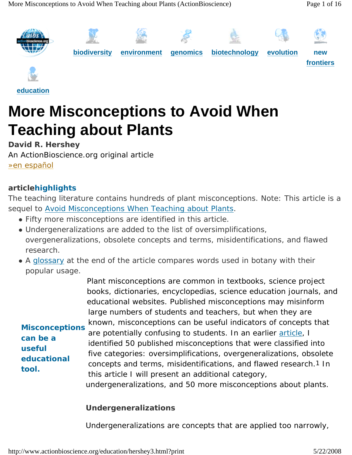

**education**

# **More Misconceptions to Avoid When Teaching about Plants**

**David R. Hershey**  An ActionBioscience.org original article »en español

#### **articlehighlights**

*can be a useful* 

*tool.*

*The teaching literature contains hundreds of plant misconceptions. Note: This article is a sequel to Avoid Misconceptions When Teaching about Plants.* 

- Fifty more misconceptions are identified in this article.
- Undergeneralizations are added to the list of oversimplifications, *overgeneralizations, obsolete concepts and terms, misidentifications, and flawed research.*
- A glossary at the end of the article compares words used in botany with their *popular usage.*

Plant misconceptions are common in textbooks, science project books, dictionaries, encyclopedias, science education journals, and educational websites. Published misconceptions may misinform large numbers of students and teachers, but when they are known, misconceptions can be useful indicators of concepts that are potentially confusing to students. In an earlier article, I identified 50 published misconceptions that were classified into five categories: oversimplifications, overgeneralizations, obsolete *Misconceptions*

concepts and terms, misidentifications, and flawed research.1 In this article I will present an additional category, *educational* 

undergeneralizations, and 50 more misconceptions about plants.

#### **Undergeneralizations**

Undergeneralizations are concepts that are applied too narrowly,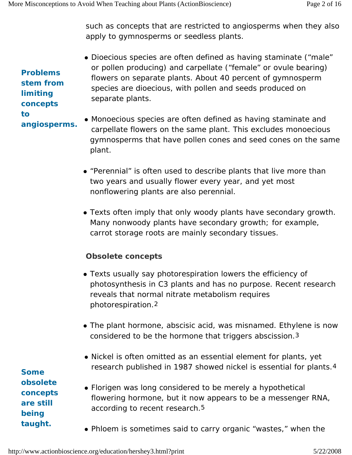such as concepts that are restricted to angiosperms when they also apply to gymnosperms or seedless plants.

*Problems stem from limiting concepts to angiosperms.*

- Dioecious species are often defined as having staminate ("male" or pollen producing) and carpellate ("female" or ovule bearing) flowers on separate plants. About 40 percent of gymnosperm species are dioecious, with pollen and seeds produced on separate plants.
- Monoecious species are often defined as having staminate and carpellate flowers on the same plant. This excludes monoecious gymnosperms that have pollen cones and seed cones on the same plant.
	- "Perennial" is often used to describe plants that live more than two years and usually flower every year, and yet most nonflowering plants are also perennial.
	- Texts often imply that only woody plants have secondary growth. Many nonwoody plants have secondary growth; for example, carrot storage roots are mainly secondary tissues.

#### **Obsolete concepts**

- Texts usually say photorespiration lowers the efficiency of photosynthesis in C3 plants and has no purpose. Recent research reveals that normal nitrate metabolism requires photorespiration.2
- The plant hormone, abscisic acid, was misnamed. Ethylene is now considered to be the hormone that triggers abscission.3
- Nickel is often omitted as an essential element for plants, yet research published in 1987 showed nickel is essential for plants.4
- Florigen was long considered to be merely a hypothetical flowering hormone, but it now appears to be a messenger RNA, according to recent research.5
- Phloem is sometimes said to carry organic "wastes," when the

*Some obsolete concepts are still being taught.*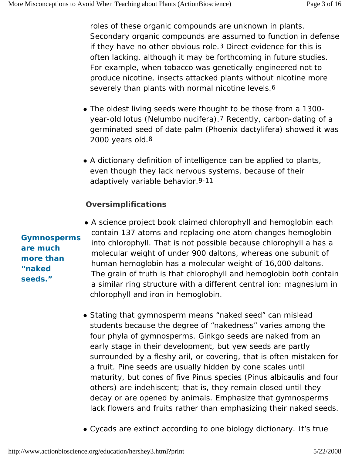roles of these organic compounds are unknown in plants. Secondary organic compounds are assumed to function in defense if they have no other obvious role.3 Direct evidence for this is often lacking, although it may be forthcoming in future studies. For example, when tobacco was genetically engineered not to produce nicotine, insects attacked plants without nicotine more severely than plants with normal nicotine levels.<sup>6</sup>

- The oldest living seeds were thought to be those from a 1300year-old lotus (*Nelumbo nucifera*).7 Recently, carbon-dating of a germinated seed of date palm (*Phoenix dactylifera*) showed it was 2000 years old.8
- A dictionary definition of intelligence can be applied to plants, even though they lack nervous systems, because of their adaptively variable behavior.9-11

#### **Oversimplifications**

- A science project book claimed chlorophyll and hemoglobin each contain 137 atoms and replacing one atom changes hemoglobin into chlorophyll. That is not possible because chlorophyll a has a molecular weight of under 900 daltons, whereas one subunit of human hemoglobin has a molecular weight of 16,000 daltons. The grain of truth is that chlorophyll and hemoglobin both contain a similar ring structure with a different central ion: magnesium in chlorophyll and iron in hemoglobin.
- Stating that gymnosperm means "naked seed" can mislead students because the degree of "nakedness" varies among the four phyla of gymnosperms. Ginkgo seeds are naked from an early stage in their development, but yew seeds are partly surrounded by a fleshy aril, or covering, that is often mistaken for a fruit. Pine seeds are usually hidden by cone scales until maturity, but cones of five *Pinus* species (*Pinus albicaulis* and four others) are indehiscent; that is, they remain closed until they decay or are opened by animals. Emphasize that gymnosperms lack flowers and fruits rather than emphasizing their naked seeds.
- Cycads are extinct according to one biology dictionary. It's true

*Gymnosperms are much more than "naked seeds."*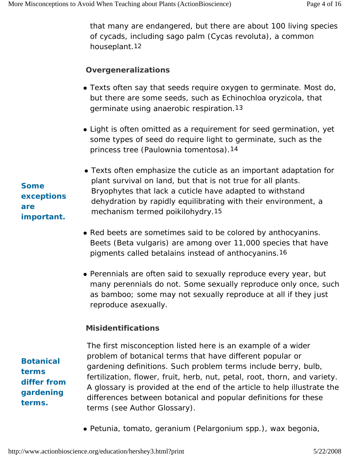that many are endangered, but there are about 100 living species of cycads, including sago palm (*Cycas revoluta*), a common houseplant.12

#### **Overgeneralizations**

- Texts often say that seeds require oxygen to germinate. Most do, but there are some seeds, such as *Echinochloa oryzicola*, that germinate using anaerobic respiration.13
- Light is often omitted as a requirement for seed germination, yet some types of seed do require light to germinate, such as the princess tree (*Paulownia tomentosa*).14
- Texts often emphasize the cuticle as an important adaptation for plant survival on land, but that is not true for all plants. Bryophytes that lack a cuticle have adapted to withstand dehydration by rapidly equilibrating with their environment, a mechanism termed *poikilohydry*.15
- Red beets are sometimes said to be colored by anthocyanins. Beets (*Beta vulgaris*) are among over 11,000 species that have pigments called betalains instead of anthocyanins.16
- Perennials are often said to sexually reproduce every year, but many perennials do not. Some sexually reproduce only once, such as bamboo; some may not sexually reproduce at all if they just reproduce asexually.

#### **Misidentifications**

*Botanical terms differ from gardening terms.*

The first misconception listed here is an example of a wider problem of botanical terms that have different popular or gardening definitions. Such problem terms include berry, bulb, fertilization, flower, fruit, herb, nut, petal, root, thorn, and variety. A glossary is provided at the end of the article to help illustrate the differences between botanical and popular definitions for these terms (see Author Glossary).

z Petunia, tomato, geranium (*Pelargonium* spp.), wax begonia,

*Some exceptions are important.*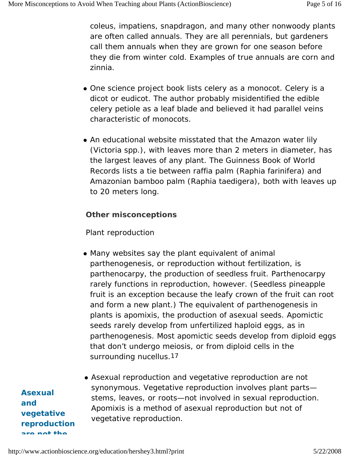coleus, impatiens, snapdragon, and many other nonwoody plants are often called annuals. They are all perennials, but gardeners call them annuals when they are grown for one season before they die from winter cold. Examples of true annuals are corn and zinnia.

- One science project book lists celery as a monocot. Celery is a dicot or eudicot. The author probably misidentified the edible celery petiole as a leaf blade and believed it had parallel veins characteristic of monocots.
- An educational website misstated that the Amazon water lily (Victoria spp.), with leaves more than 2 meters in diameter, has the largest leaves of any plant. The *Guinness Book of World Records* lists a tie between raffia palm (*Raphia farinifera*) and Amazonian bamboo palm (*Raphia taedigera*), both with leaves up to 20 meters long.

#### **Other misconceptions**

#### *Plant reproduction*

- Many websites say the plant equivalent of animal parthenogenesis, or reproduction without fertilization, is *parthenocarpy*, the production of seedless fruit. Parthenocarpy rarely functions in reproduction, however. (Seedless pineapple fruit is an exception because the leafy crown of the fruit can root and form a new plant.) The equivalent of parthenogenesis in plants is *apomixis*, the production of asexual seeds. Apomictic seeds rarely develop from unfertilized haploid eggs, as in parthenogenesis. Most apomictic seeds develop from diploid eggs that don't undergo meiosis, or from diploid cells in the surrounding nucellus.17
- Asexual reproduction and *vegetative reproduction* are not synonymous. Vegetative reproduction involves plant parts stems, leaves, or roots—not involved in sexual reproduction. Apomixis is a method of asexual reproduction but not of vegetative reproduction.

*Asexual and vegetative reproduction are not the*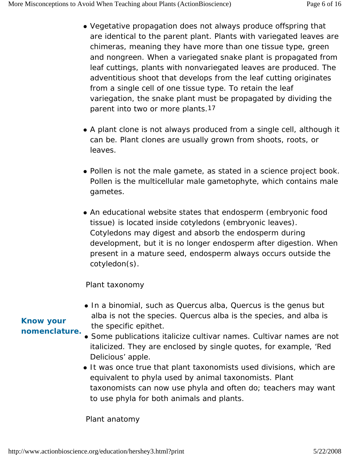- Vegetative propagation does not always produce offspring that are identical to the parent plant. Plants with variegated leaves are chimeras, meaning they have more than one tissue type, green and nongreen. When a variegated snake plant is propagated from leaf cuttings, plants with nonvariegated leaves are produced. The adventitious shoot that develops from the leaf cutting originates from a single cell of one tissue type. To retain the leaf variegation, the snake plant must be propagated by dividing the parent into two or more plants.17
- A plant clone is not always produced from a single cell, although it can be. Plant clones are usually grown from shoots, roots, or leaves.
- Pollen is not the male gamete, as stated in a science project book. Pollen is the multicellular male gametophyte, which contains male gametes.
- An educational website states that endosperm (embryonic food tissue) is located inside cotyledons (embryonic leaves). Cotyledons may digest and absorb the endosperm during development, but it is no longer endosperm after digestion. When present in a mature seed, endosperm always occurs outside the cotyledon(s).

#### *Plant taxonomy*

• In a binomial, such as *Quercus alba, Quercus* is the genus but *alba* is not the species. *Quercus alba* is the species, and *alba* is the specific epithet.

### • Some publications italicize cultivar names. Cultivar names are not italicized. They are enclosed by single quotes, for example, 'Red Delicious' apple.

• It was once true that plant taxonomists used divisions, which are equivalent to phyla used by animal taxonomists. Plant taxonomists can now use phyla and often do; teachers may want to use phyla for both animals and plants.

#### *Know your nomenclature.*

#### *Plant anatomy*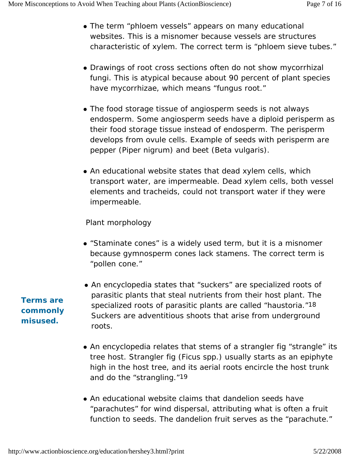- The term "phloem vessels" appears on many educational websites. This is a misnomer because vessels are structures characteristic of xylem. The correct term is "phloem sieve tubes."
- Drawings of root cross sections often do not show mycorrhizal fungi. This is atypical because about 90 percent of plant species have mycorrhizae, which means "fungus root."
- The food storage tissue of angiosperm seeds is not always endosperm. Some angiosperm seeds have a diploid perisperm as their food storage tissue instead of endosperm. The perisperm develops from ovule cells. Example of seeds with perisperm are pepper (*Piper nigrum*) and beet (*Beta vulgaris*).
- An educational website states that dead xylem cells, which transport water, are impermeable. Dead xylem cells, both vessel elements and tracheids, could not transport water if they were impermeable.

#### *Plant morphology*

- "Staminate cones" is a widely used term, but it is a misnomer because gymnosperm cones lack stamens. The correct term is "pollen cone."
- An encyclopedia states that "suckers" are specialized roots of parasitic plants that steal nutrients from their host plant. The specialized roots of parasitic plants are called "haustoria."18 Suckers are adventitious shoots that arise from underground roots.
- An encyclopedia relates that stems of a strangler fig "strangle" its tree host. Strangler fig (*Ficus* spp.) usually starts as an epiphyte high in the host tree, and its aerial roots encircle the host trunk and do the "strangling."19
- An educational website claims that dandelion seeds have "parachutes" for wind dispersal, attributing what is often a fruit function to seeds. The dandelion fruit serves as the "parachute."

*Terms are commonly misused.*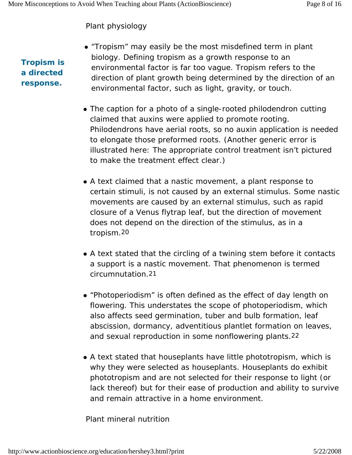#### *Plant physiology*

*Tropism is a directed response.*

- "Tropism" may easily be the most misdefined term in plant biology. Defining tropism as a growth response to an environmental factor is far too vague. Tropism refers to the direction of plant growth being determined by the direction of an environmental factor, such as light, gravity, or touch.
- The caption for a photo of a single-rooted philodendron cutting claimed that auxins were applied to promote rooting. Philodendrons have aerial roots, so no auxin application is needed to elongate those preformed roots. (Another generic error is illustrated here: The appropriate control treatment isn't pictured to make the treatment effect clear.)
- A text claimed that a *nastic movement*, a plant response to certain stimuli, is not caused by an external stimulus. Some nastic movements are caused by an external stimulus, such as rapid closure of a Venus flytrap leaf, but the direction of movement does not depend on the direction of the stimulus, as in a tropism.20
- A text stated that the circling of a twining stem before it contacts a support is a nastic movement. That phenomenon is termed *circumnutation*.21
- "Photoperiodism" is often defined as the effect of day length on flowering. This understates the scope of photoperiodism, which also affects seed germination, tuber and bulb formation, leaf abscission, dormancy, adventitious plantlet formation on leaves, and sexual reproduction in some nonflowering plants.22
- A text stated that houseplants have little phototropism, which is why they were selected as houseplants. Houseplants do exhibit phototropism and are not selected for their response to light (or lack thereof) but for their ease of production and ability to survive and remain attractive in a home environment.

#### *Plant mineral nutrition*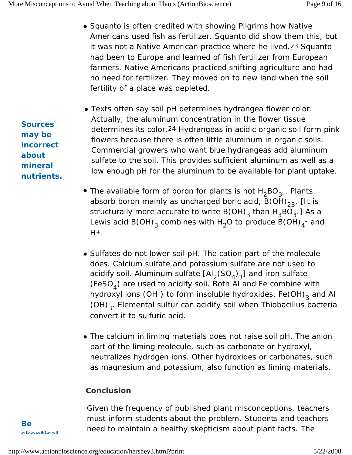- Squanto is often credited with showing Pilgrims how Native Americans used fish as fertilizer. Squanto did show them this, but it was not a Native American practice where he lived.23 Squanto had been to Europe and learned of fish fertilizer from European farmers. Native Americans practiced shifting agriculture and had no need for fertilizer. They moved on to new land when the soil fertility of a place was depleted.
- Texts often say soil pH determines hydrangea flower color. Actually, the aluminum concentration in the flower tissue determines its color.24 Hydrangeas in acidic organic soil form pink flowers because there is often little aluminum in organic soils. Commercial growers who want blue hydrangeas add aluminum sulfate to the soil. This provides sufficient aluminum as well as a low enough pH for the aluminum to be available for plant uptake.
- The available form of boron for plants is not  $H_2BO_{3-}$ . Plants absorb boron mainly as uncharged boric acid,  $B(OH)_{23}$ . [It is structurally more accurate to write B(OH)<sub>3</sub> than  $H_3BO_3$ .] As a Lewis acid B(OH) $_3$  combines with H $_2$ O to produce B(OH) $_4^{\text{-}}$  and  $H+$ .
- Sulfates do not lower soil pH. The cation part of the molecule does. Calcium sulfate and potassium sulfate are not used to acidify soil. Aluminum sulfate  $\text{[Al}_2\text{(SO}_4)_3\text{]}$  and iron sulfate (FeSO<sub> $<sub>A</sub>$ ) are used to acidify soil. Both Al and Fe combine with</sub></sub> hydroxyl ions (OH-) to form insoluble hydroxides,  $Fe(OH)$ <sub>3</sub> and Al (OH)3. Elemental sulfur can acidify soil when *Thiobacillus* bacteria convert it to sulfuric acid.
- The calcium in liming materials does not raise soil pH. The anion part of the liming molecule, such as carbonate or hydroxyl, neutralizes hydrogen ions. Other hydroxides or carbonates, such as magnesium and potassium, also function as liming materials.

#### **Conclusion**

Given the frequency of published plant misconceptions, teachers must inform students about the problem. Students and teachers need to maintain a healthy skepticism about plant facts. The

*Sources may be incorrect about mineral nutrients.*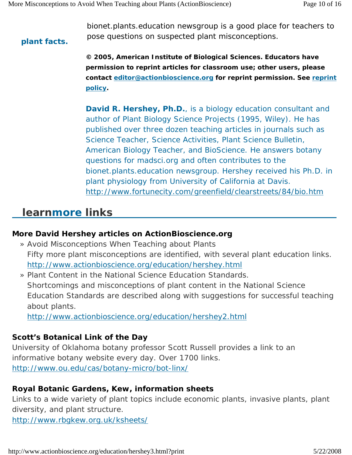*plant facts.*

bionet.plants.education newsgroup is a good place for teachers to pose questions on suspected plant misconceptions.

**© 2005, American Institute of Biological Sciences. Educators have permission to reprint articles for classroom use; other users, please contact editor@actionbioscience.org for reprint permission. See reprint policy.** 

**David R. Hershey, Ph.D.**, is a biology education consultant and author of *Plant Biology Science Projects* (1995, Wiley). He has published over three dozen teaching articles in journals such as *Science Teacher*, *Science Activities*, *Plant Science Bulletin*, *American Biology Teacher*, and *BioScience*. He answers botany questions for madsci.org and often contributes to the bionet.plants.education newsgroup. Hershey received his Ph.D. in plant physiology from University of California at Davis. http://www.fortunecity.com/greenfield/clearstreets/84/bio.htm

# **learnmore links**

#### **More David Hershey articles on ActionBioscience.org**

- » Avoid Misconceptions When Teaching about Plants Fifty more plant misconceptions are identified, with several plant education links. http://www.actionbioscience.org/education/hershey.html
- » Plant Content in the National Science Education Standards. Shortcomings and misconceptions of plant content in the National Science Education Standards are described along with suggestions for successful teaching about plants.

http://www.actionbioscience.org/education/hershey2.html

#### **Scott's Botanical Link of the Day**

University of Oklahoma botany professor Scott Russell provides a link to an informative botany website every day. Over 1700 links. http://www.ou.edu/cas/botany-micro/bot-linx/

#### **Royal Botanic Gardens, Kew, information sheets**

Links to a wide variety of plant topics include economic plants, invasive plants, plant diversity, and plant structure.

http://www.rbgkew.org.uk/ksheets/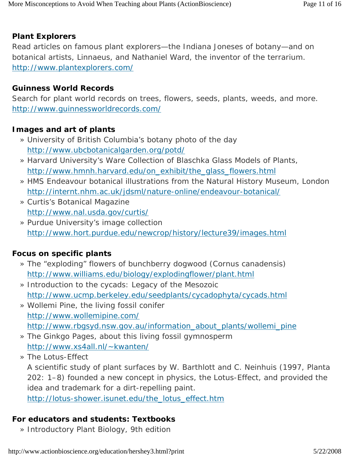#### **Plant Explorers**

Read articles on famous plant explorers—the Indiana Joneses of botany—and on botanical artists, Linnaeus, and Nathaniel Ward, the inventor of the terrarium. http://www.plantexplorers.com/

#### **Guinness World Records**

Search for plant world records on trees, flowers, seeds, plants, weeds, and more. http://www.guinnessworldrecords.com/

#### **Images and art of plants**

- » University of British Columbia's botany photo of the day http://www.ubcbotanicalgarden.org/potd/
- » Harvard University's Ware Collection of Blaschka Glass Models of Plants, http://www.hmnh.harvard.edu/on\_exhibit/the\_glass\_flowers.html
- » HMS Endeavour botanical illustrations from the Natural History Museum, London http://internt.nhm.ac.uk/jdsml/nature-online/endeavour-botanical/
- » Curtis's Botanical Magazine http://www.nal.usda.gov/curtis/
- » Purdue University's image collection http://www.hort.purdue.edu/newcrop/history/lecture39/images.html

#### **Focus on specific plants**

- » The "exploding" flowers of bunchberry dogwood (*Cornus canadensis*) http://www.williams.edu/biology/explodingflower/plant.html
- » Introduction to the cycads: Legacy of the Mesozoic http://www.ucmp.berkeley.edu/seedplants/cycadophyta/cycads.html
- » Wollemi Pine, the living fossil conifer http://www.wollemipine.com/ http://www.rbgsyd.nsw.gov.au/information\_about\_plants/wollemi\_pine
- » The Ginkgo Pages, about this living fossil gymnosperm http://www.xs4all.nl/~kwanten/
- » The Lotus-Effect

A scientific study of plant surfaces by W. Barthlott and C. Neinhuis (1997, Planta 202: 1–8) founded a new concept in physics, the Lotus-Effect, and provided the idea and trademark for a dirt-repelling paint.

http://lotus-shower.isunet.edu/the\_lotus\_effect.htm

#### **For educators and students: Textbooks**

» Introductory Plant Biology, 9th edition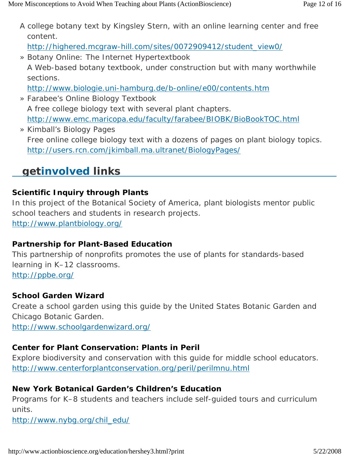A college botany text by Kingsley Stern, with an online learning center and free content.

http://highered.mcgraw-hill.com/sites/0072909412/student\_view0/

- » Botany Online: The Internet Hypertextbook
	- A Web-based botany textbook, under construction but with many worthwhile sections.

http://www.biologie.uni-hamburg.de/b-online/e00/contents.htm

- » Farabee's Online Biology Textbook A free college biology text with several plant chapters. http://www.emc.maricopa.edu/faculty/farabee/BIOBK/BioBookTOC.html
- » Kimball's Biology Pages Free online college biology text with a dozens of pages on plant biology topics. http://users.rcn.com/jkimball.ma.ultranet/BiologyPages/

# **getinvolved links**

## **Scientific Inquiry through Plants**

In this project of the Botanical Society of America, plant biologists mentor public school teachers and students in research projects. http://www.plantbiology.org/

### **Partnership for Plant-Based Education**

This partnership of nonprofits promotes the use of plants for standards-based learning in K–12 classrooms. http://ppbe.org/

### **School Garden Wizard**

Create a school garden using this guide by the United States Botanic Garden and Chicago Botanic Garden.

http://www.schoolgardenwizard.org/

### **Center for Plant Conservation: Plants in Peril**

Explore biodiversity and conservation with this guide for middle school educators. http://www.centerforplantconservation.org/peril/perilmnu.html

### **New York Botanical Garden's Children's Education**

Programs for K–8 students and teachers include self-guided tours and curriculum units.

http://www.nybg.org/chil\_edu/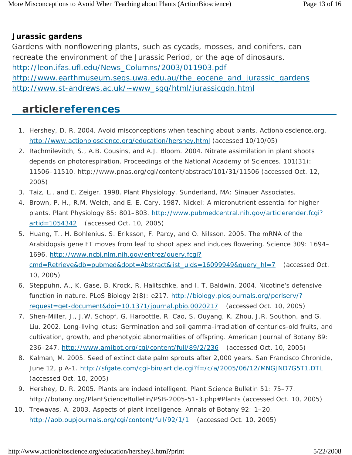#### **Jurassic gardens**

Gardens with nonflowering plants, such as cycads, mosses, and conifers, can recreate the environment of the Jurassic Period, or the age of dinosaurs. http://leon.ifas.ufl.edu/News\_Columns/2003/011903.pdf http://www.earthmuseum.segs.uwa.edu.au/the\_eocene\_and\_jurassic\_gardens http://www.st-andrews.ac.uk/~www\_sgg/html/jurassicgdn.html

## **articlereferences**

- 1. Hershey, D. R. 2004. Avoid misconceptions when teaching about plants. *Actionbioscience.org*. http://www.actionbioscience.org/education/hershey.html (accessed 10/10/05)
- 2. Rachmilevitch, S., A.B. Cousins, and A.J. Bloom. 2004. Nitrate assimilation in plant shoots depends on photorespiration. *Proceedings of the National Academy of Sciences*. 101(31): 11506–11510. http://www.pnas.org/cgi/content/abstract/101/31/11506 (accessed Oct. 12, 2005)
- 3. Taiz, L., and E. Zeiger. 1998. *Plant Physiology*. Sunderland, MA: Sinauer Associates.
- 4. Brown, P. H., R.M. Welch, and E. E. Cary. 1987. Nickel: A micronutrient essential for higher plants. *Plant Physiology* 85: 801–803. http://www.pubmedcentral.nih.gov/articlerender.fcgi? artid=1054342 (accessed Oct. 10, 2005)
- 5. Huang, T., H. Bohlenius, S. Eriksson, F. Parcy, and O. Nilsson. 2005. The mRNA of the Arabidopsis gene FT moves from leaf to shoot apex and induces flowering. *Science* 309: 1694– 1696. http://www.ncbi.nlm.nih.gov/entrez/query.fcgi? cmd=Retrieve&db=pubmed&dopt=Abstract&list\_uids=16099949&query\_hl=7 (accessed Oct. 10, 2005)
- 6. Steppuhn, A., K. Gase, B. Krock, R. Halitschke, and I. T. Baldwin. 2004. Nicotine's defensive function in nature. *PLoS Biology* 2(8): e217. http://biology.plosjournals.org/perlserv/? request=get-document&doi=10.1371/journal.pbio.0020217 (accessed Oct. 10, 2005)
- 7. Shen-Miller, J., J.W. Schopf, G. Harbottle, R. Cao, S. Ouyang, K. Zhou, J.R. Southon, and G. Liu. 2002. Long-living lotus: Germination and soil gamma-irradiation of centuries-old fruits, and cultivation, growth, and phenotypic abnormalities of offspring. *American Journal of Botany* 89: 236–247. http://www.amjbot.org/cgi/content/full/89/2/236 (accessed Oct. 10, 2005)
- 8. Kalman, M. 2005. Seed of extinct date palm sprouts after 2,000 years. *San Francisco Chronicle*, June 12, p A-1. http://sfgate.com/cgi-bin/article.cgi?f=/c/a/2005/06/12/MNGJND7G5T1.DTL (accessed Oct. 10, 2005)
- 9. Hershey, D. R. 2005. Plants are indeed intelligent. *Plant Science Bulletin* 51: 75–77. http://botany.org/PlantScienceBulletin/PSB-2005-51-3.php#Plants (accessed Oct. 10, 2005)
- 10. Trewavas, A. 2003. Aspects of plant intelligence. *Annals of Botany* 92: 1–20. http://aob.oupjournals.org/cgi/content/full/92/1/1 (accessed Oct. 10, 2005)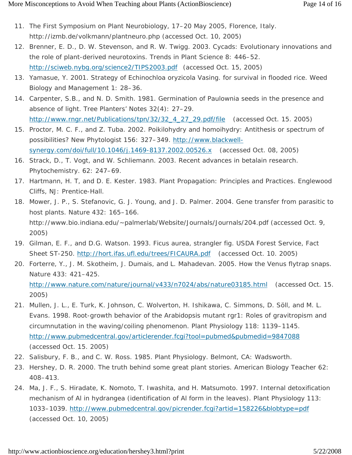- 11. The First Symposium on Plant Neurobiology, 17–20 May 2005, Florence, Italy. http://izmb.de/volkmann/plantneuro.php (accessed Oct. 10, 2005)
- 12. Brenner, E. D., D. W. Stevenson, and R. W. Twigg. 2003. Cycads: Evolutionary innovations and the role of plant-derived neurotoxins. *Trends in Plant Science* 8: 446–52. http://sciweb.nybg.org/science2/TIPS2003.pdf (accessed Oct. 15, 2005)
- 13. Yamasue, Y. 2001. Strategy of Echinochloa oryzicola Vasing. for survival in flooded rice. *Weed Biology and Management* 1: 28–36.
- 14. Carpenter, S.B., and N. D. Smith. 1981. Germination of Paulownia seeds in the presence and absence of light. *Tree Planters' Notes* 32(4): 27–29. http://www.rngr.net/Publications/tpn/32/32\_4\_27\_29.pdf/file (accessed Oct. 15. 2005)
- 15. Proctor, M. C. F., and Z. Tuba. 2002. Poikilohydry and homoihydry: Antithesis or spectrum of possibilities? *New Phytologist* 156: 327–349. http://www.blackwellsynergy.com/doi/full/10.1046/j.1469-8137.2002.00526.x (accessed Oct. 08, 2005)
- 16. Strack, D., T. Vogt, and W. Schliemann. 2003. Recent advances in betalain research. *Phytochemistry*. 62: 247–69.
- 17. Hartmann, H. T, and D. E. Kester. 1983. Plant Propagation: *Principles and Practices*. Englewood Cliffs, NJ: Prentice-Hall.
- 18. Mower, J. P., S. Stefanovic, G. J. Young, and J. D. Palmer. 2004. Gene transfer from parasitic to host plants. *Nature* 432: 165–166. http://www.bio.indiana.edu/~palmerlab/Website/Journals/Journals/204.pdf (accessed Oct. 9, 2005)
- 19. Gilman, E. F., and D.G. Watson. 1993. *Ficus aurea*, strangler fig. *USDA Forest Service, Fact Sheet ST-250*. http://hort.ifas.ufl.edu/trees/FICAURA.pdf (accessed Oct. 10. 2005)
- 20. Forterre, Y., J. M. Skotheim, J. Dumais, and L. Mahadevan. 2005. How the Venus flytrap snaps. *Nature* 433: 421–425. http://www.nature.com/nature/journal/v433/n7024/abs/nature03185.html (accessed Oct. 15.
- 21. Mullen, J. L., E. Turk, K. Johnson, C. Wolverton, H. Ishikawa, C. Simmons, D. Söll, and M. L. Evans. 1998. Root-growth behavior of the *Arabidopsis* mutant *rgr1*: Roles of gravitropism and circumnutation in the waving/coiling phenomenon. *Plant Physiology* 118: 1139–1145. http://www.pubmedcentral.gov/articlerender.fcgi?tool=pubmed&pubmedid=9847088 (accessed Oct. 15. 2005)
- 22. Salisbury, F. B., and C. W. Ross. 1985. *Plant Physiology*. Belmont, CA: Wadsworth.

2005)

- 23. Hershey, D. R. 2000. The truth behind some great plant stories. *American Biology Teacher* 62: 408–413.
- 24. Ma, J. F., S. Hiradate, K. Nomoto, T. Iwashita, and H. Matsumoto. 1997. Internal detoxification mechanism of Al in hydrangea (identification of Al form in the leaves). *Plant Physiology* 113: 1033–1039. http://www.pubmedcentral.gov/picrender.fcgi?artid=158226&blobtype=pdf (accessed Oct. 10, 2005)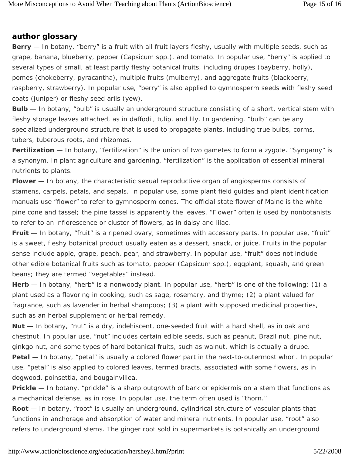#### **author glossary**

**Berry** — *In botany,* "berry" is a fruit with all fruit layers fleshy, usually with multiple seeds, such as grape, banana, blueberry, pepper (*Capsicum* spp.), and tomato. *In popular use,* "berry" is applied to several types of small, at least partly fleshy botanical fruits, including drupes (bayberry, holly), pomes (chokeberry, pyracantha), multiple fruits (mulberry), and aggregate fruits (blackberry, raspberry, strawberry). *In popular use,* "berry" is also applied to gymnosperm seeds with fleshy seed coats (juniper) or fleshy seed arils (yew).

**Bulb** — *In botany,* "bulb" is usually an underground structure consisting of a short, vertical stem with fleshy storage leaves attached, as in daffodil, tulip, and lily. *In gardening,* "bulb" can be any specialized underground structure that is used to propagate plants, including true bulbs, corms, tubers, tuberous roots, and rhizomes.

**Fertilization** — *In botany,* "fertilization" is the union of two gametes to form a zygote. "Syngamy" is a synonym. *In plant agriculture and gardening*, "fertilization" is the application of essential mineral nutrients to plants.

**Flower** — *In botany,* the characteristic sexual reproductive organ of angiosperms consists of stamens, carpels, petals, and sepals. *In popular use,* some plant field guides and plant identification manuals use "flower" to refer to gymnosperm cones. The official state flower of Maine is the white pine cone and tassel; the pine tassel is apparently the leaves. "Flower" often is used by nonbotanists to refer to an inflorescence or cluster of flowers, as in daisy and lilac.

**Fruit** — *In botany,* "fruit" is a ripened ovary, sometimes with accessory parts. *In popular use,* "fruit" is a sweet, fleshy botanical product usually eaten as a dessert, snack, or juice. Fruits in the popular sense include apple, grape, peach, pear, and strawberry. *In popular use,* "fruit" does not include other edible botanical fruits such as tomato, pepper (*Capsicum* spp.), eggplant, squash, and green beans; they are termed "vegetables" instead.

**Herb** — *In botany,* "herb" is a nonwoody plant. *In popular use,* "herb" is one of the following: (1) a plant used as a flavoring in cooking, such as sage, rosemary, and thyme; (2) a plant valued for fragrance, such as lavender in herbal shampoos; (3) a plant with supposed medicinal properties, such as an herbal supplement or herbal remedy.

**Nut** — *In botany,* "nut" is a dry, indehiscent, one-seeded fruit with a hard shell, as in oak and chestnut. *In popular use,* "nut" includes certain edible seeds, such as peanut, Brazil nut, pine nut, ginkgo nut, and some types of hard botanical fruits, such as walnut, which is actually a drupe. **Petal** — *In botany,* "petal" is usually a colored flower part in the next-to-outermost whorl. *In popular* 

*use,* "petal" is also applied to colored leaves, termed bracts, associated with some flowers, as in dogwood, poinsettia, and bougainvillea.

**Prickle** — *In botany,* "prickle" is a sharp outgrowth of bark or epidermis on a stem that functions as a mechanical defense, as in rose. *In popular use,* the term often used is "thorn."

**Root** — *In botany,* "root" is usually an underground, cylindrical structure of vascular plants that functions in anchorage and absorption of water and mineral nutrients. *In popular use,* "root" also refers to underground stems. The ginger root sold in supermarkets is botanically an underground